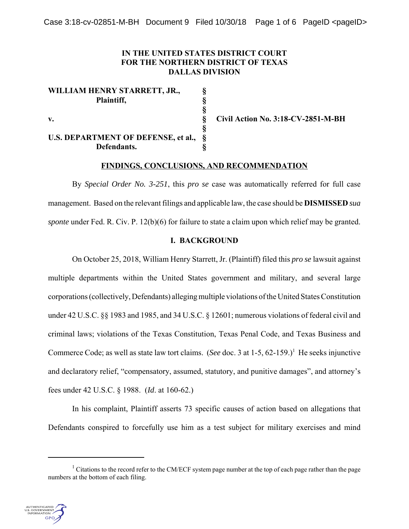## **IN THE UNITED STATES DISTRICT COURT FOR THE NORTHERN DISTRICT OF TEXAS DALLAS DIVISION**

**§**

**§**

**WILLIAM HENRY STARRETT, JR., § Plaintiff, §**

# **U.S. DEPARTMENT OF DEFENSE, et al., § Defendants. §**

**v. § Civil Action No. 3:18-CV-2851-M-BH**

## **FINDINGS, CONCLUSIONS, AND RECOMMENDATION**

By *Special Order No. 3-251*, this *pro se* case was automatically referred for full case management. Based on the relevant filings and applicable law, the case should be **DISMISSED** *sua sponte* under Fed. R. Civ. P. 12(b)(6) for failure to state a claim upon which relief may be granted.

## **I. BACKGROUND**

On October 25, 2018, William Henry Starrett, Jr. (Plaintiff) filed this *pro se* lawsuit against multiple departments within the United States government and military, and several large corporations (collectively, Defendants) alleging multiple violations of the United States Constitution under 42 U.S.C. §§ 1983 and 1985, and 34 U.S.C. § 12601; numerous violations of federal civil and criminal laws; violations of the Texas Constitution, Texas Penal Code, and Texas Business and Commerce Code; as well as state law tort claims. (*See* doc. 3 at 1-5, 62-159.)<sup>1</sup> He seeks injunctive and declaratory relief, "compensatory, assumed, statutory, and punitive damages", and attorney's fees under 42 U.S.C. § 1988. (*Id*. at 160-62.)

In his complaint, Plaintiff asserts 73 specific causes of action based on allegations that Defendants conspired to forcefully use him as a test subject for military exercises and mind

<sup>&</sup>lt;sup>1</sup> Citations to the record refer to the CM/ECF system page number at the top of each page rather than the page numbers at the bottom of each filing.

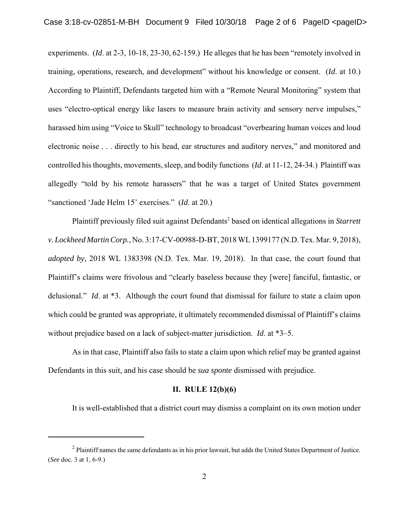experiments. (*Id*. at 2-3, 10-18, 23-30, 62-159.) He alleges that he has been "remotely involved in training, operations, research, and development" without his knowledge or consent. (*Id*. at 10.) According to Plaintiff, Defendants targeted him with a "Remote Neural Monitoring" system that uses "electro-optical energy like lasers to measure brain activity and sensory nerve impulses," harassed him using "Voice to Skull" technology to broadcast "overbearing human voices and loud electronic noise . . . directly to his head, ear structures and auditory nerves," and monitored and controlled his thoughts, movements, sleep, and bodily functions (*Id*. at 11-12, 24-34.) Plaintiff was allegedly "told by his remote harassers" that he was a target of United States government "sanctioned 'Jade Helm 15' exercises." (*Id*. at 20.)

Plaintiff previously filed suit against Defendants<sup>2</sup> based on identical allegations in Starrett *v. Lockheed Martin Corp.*, No. 3:17-CV-00988-D-BT, 2018 WL 1399177 (N.D. Tex. Mar. 9, 2018), *adopted by*, 2018 WL 1383398 (N.D. Tex. Mar. 19, 2018). In that case, the court found that Plaintiff's claims were frivolous and "clearly baseless because they [were] fanciful, fantastic, or delusional." *Id*. at \*3. Although the court found that dismissal for failure to state a claim upon which could be granted was appropriate, it ultimately recommended dismissal of Plaintiff's claims without prejudice based on a lack of subject-matter jurisdiction. *Id*. at \*3–5.

As in that case, Plaintiff also fails to state a claim upon which relief may be granted against Defendants in this suit, and his case should be *sua sponte* dismissed with prejudice.

#### **II. RULE 12(b)(6)**

It is well-established that a district court may dismiss a complaint on its own motion under

 $<sup>2</sup>$  Plaintiff names the same defendants as in his prior lawsuit, but adds the United States Department of Justice.</sup> (*See* doc. 3 at 1, 6-9.)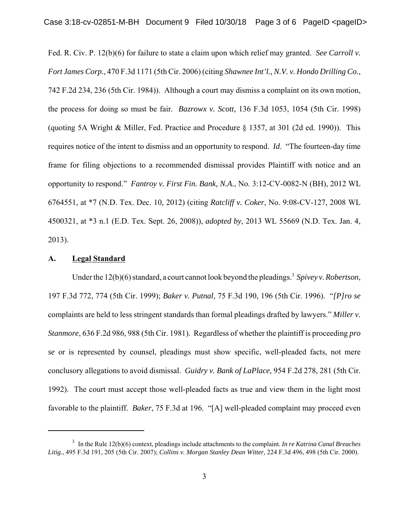Fed. R. Civ. P. 12(b)(6) for failure to state a claim upon which relief may granted. *See Carroll v. Fort James Corp.*, 470 F.3d 1171 (5th Cir. 2006) (citing *Shawnee Int'l., N.V. v. Hondo Drilling Co.*, 742 F.2d 234, 236 (5th Cir. 1984)). Although a court may dismiss a complaint on its own motion, the process for doing so must be fair. *Bazrowx v. Scott,* 136 F.3d 1053, 1054 (5th Cir. 1998) (quoting 5A Wright & Miller, Fed. Practice and Procedure § 1357, at 301 (2d ed. 1990)). This requires notice of the intent to dismiss and an opportunity to respond. *Id*. "The fourteen-day time frame for filing objections to a recommended dismissal provides Plaintiff with notice and an opportunity to respond." *Fantroy v. First Fin. Bank, N.A.*, No. 3:12-CV-0082-N (BH), 2012 WL 6764551, at \*7 (N.D. Tex. Dec. 10, 2012) (citing *Ratcliff v. Coker*, No. 9:08-CV-127, 2008 WL 4500321, at \*3 n.1 (E.D. Tex. Sept. 26, 2008)), *adopted by*, 2013 WL 55669 (N.D. Tex. Jan. 4, 2013).

#### **A. Legal Standard**

Under the 12(b)(6) standard, a court cannot look beyond the pleadings.<sup>3</sup> Spivey v. Robertson, 197 F.3d 772, 774 (5th Cir. 1999); *Baker v. Putnal*, 75 F.3d 190, 196 (5th Cir. 1996). "*[P]ro se* complaints are held to less stringent standards than formal pleadings drafted by lawyers." *Miller v. Stanmore*, 636 F.2d 986, 988 (5th Cir. 1981). Regardless of whether the plaintiff is proceeding *pro se* or is represented by counsel, pleadings must show specific, well-pleaded facts, not mere conclusory allegations to avoid dismissal. *Guidry v. Bank of LaPlace*, 954 F.2d 278, 281 (5th Cir. 1992). The court must accept those well-pleaded facts as true and view them in the light most favorable to the plaintiff. *Baker*, 75 F.3d at 196. "[A] well-pleaded complaint may proceed even

<sup>3</sup> In the Rule 12(b)(6) context, pleadings include attachments to the complaint. *In re Katrina Canal Breaches Litig.*, 495 F.3d 191, 205 (5th Cir. 2007); *Collins v. Morgan Stanley Dean Witter*, 224 F.3d 496, 498 (5th Cir. 2000).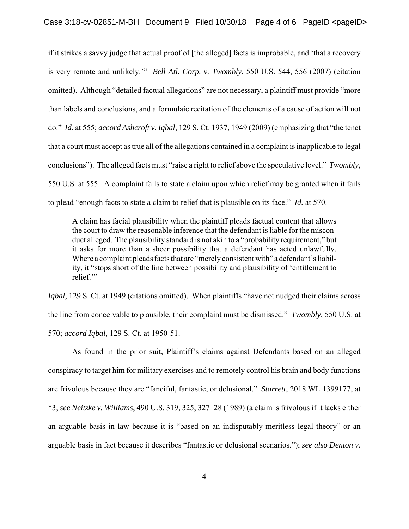if it strikes a savvy judge that actual proof of [the alleged] facts is improbable, and 'that a recovery is very remote and unlikely.'" *Bell Atl. Corp. v. Twombly*, 550 U.S. 544, 556 (2007) (citation omitted). Although "detailed factual allegations" are not necessary, a plaintiff must provide "more than labels and conclusions, and a formulaic recitation of the elements of a cause of action will not do." *Id.* at 555; *accord Ashcroft v. Iqbal*, 129 S. Ct. 1937, 1949 (2009) (emphasizing that "the tenet that a court must accept as true all of the allegations contained in a complaint is inapplicable to legal conclusions"). The alleged facts must "raise a right to relief above the speculative level." *Twombly*, 550 U.S. at 555. A complaint fails to state a claim upon which relief may be granted when it fails to plead "enough facts to state a claim to relief that is plausible on its face." *Id.* at 570.

A claim has facial plausibility when the plaintiff pleads factual content that allows the court to draw the reasonable inference that the defendant is liable for the misconduct alleged. The plausibility standard is not akin to a "probability requirement," but it asks for more than a sheer possibility that a defendant has acted unlawfully. Where a complaint pleads facts that are "merely consistent with" a defendant's liability, it "stops short of the line between possibility and plausibility of 'entitlement to relief."

*Iqbal*, 129 S. Ct. at 1949 (citations omitted). When plaintiffs "have not nudged their claims across the line from conceivable to plausible, their complaint must be dismissed." *Twombly*, 550 U.S. at 570; *accord Iqbal*, 129 S. Ct. at 1950-51.

As found in the prior suit, Plaintiff's claims against Defendants based on an alleged conspiracy to target him for military exercises and to remotely control his brain and body functions are frivolous because they are "fanciful, fantastic, or delusional." *Starrett*, 2018 WL 1399177, at \*3; *see Neitzke v. Williams*, 490 U.S. 319, 325, 327–28 (1989) (a claim is frivolous if it lacks either an arguable basis in law because it is "based on an indisputably meritless legal theory" or an arguable basis in fact because it describes "fantastic or delusional scenarios."); *see also Denton v.*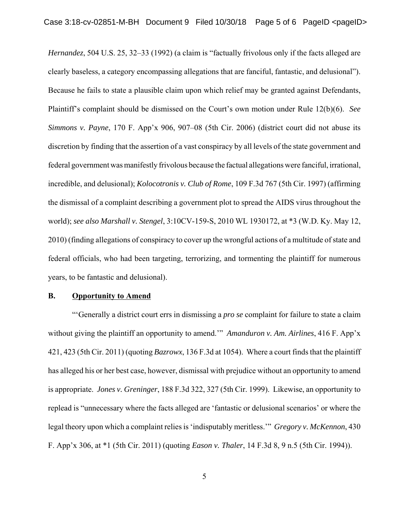*Hernandez*, 504 U.S. 25, 32–33 (1992) (a claim is "factually frivolous only if the facts alleged are clearly baseless, a category encompassing allegations that are fanciful, fantastic, and delusional"). Because he fails to state a plausible claim upon which relief may be granted against Defendants, Plaintiff's complaint should be dismissed on the Court's own motion under Rule 12(b)(6). *See Simmons v. Payne*, 170 F. App'x 906, 907–08 (5th Cir. 2006) (district court did not abuse its discretion by finding that the assertion of a vast conspiracy by all levels of the state government and federal government was manifestly frivolous because the factual allegations were fanciful, irrational, incredible, and delusional); *Kolocotronis v. Club of Rome*, 109 F.3d 767 (5th Cir. 1997) (affirming the dismissal of a complaint describing a government plot to spread the AIDS virus throughout the world); *see also Marshall v. Stengel*, 3:10CV-159-S, 2010 WL 1930172, at \*3 (W.D. Ky. May 12, 2010) (finding allegations of conspiracy to cover up the wrongful actions of a multitude of state and federal officials, who had been targeting, terrorizing, and tormenting the plaintiff for numerous years, to be fantastic and delusional).

#### **B. Opportunity to Amend**

"'Generally a district court errs in dismissing a *pro se* complaint for failure to state a claim without giving the plaintiff an opportunity to amend.'" *Amanduron v. Am. Airlines*, 416 F. App'x 421, 423 (5th Cir. 2011) (quoting *Bazrowx*, 136 F.3d at 1054). Where a court finds that the plaintiff has alleged his or her best case, however, dismissal with prejudice without an opportunity to amend is appropriate. *Jones v. Greninger*, 188 F.3d 322, 327 (5th Cir. 1999). Likewise, an opportunity to replead is "unnecessary where the facts alleged are 'fantastic or delusional scenarios' or where the legal theory upon which a complaint relies is 'indisputably meritless.'" *Gregory v. McKennon*, 430 F. App'x 306, at \*1 (5th Cir. 2011) (quoting *Eason v. Thaler*, 14 F.3d 8, 9 n.5 (5th Cir. 1994)).